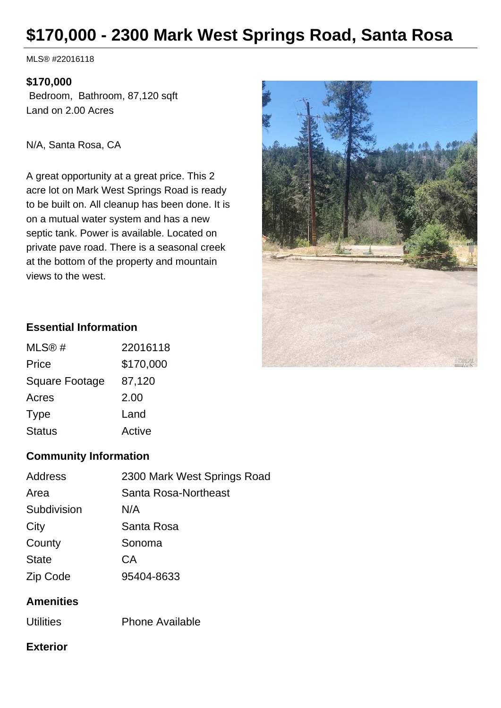# **\$170,000 - 2300 Mark West Springs Road, Santa Rosa**

MLS® #22016118

#### **\$170,000**

 Bedroom, Bathroom, 87,120 sqft Land on 2.00 Acres

N/A, Santa Rosa, CA

A great opportunity at a great price. This 2 acre lot on Mark West Springs Road is ready to be built on. All cleanup has been done. It is on a mutual water system and has a new septic tank. Power is available. Located on private pave road. There is a seasonal creek at the bottom of the property and mountain views to the west.



#### **Essential Information**

| MLS@#                 | 22016118  |
|-----------------------|-----------|
| Price                 | \$170,000 |
| <b>Square Footage</b> | 87,120    |
| Acres                 | 2.00      |
| Type                  | Land      |
| <b>Status</b>         | Active    |

## **Community Information**

| <b>Address</b> | 2300 Mark West Springs Road |
|----------------|-----------------------------|
| Area           | Santa Rosa-Northeast        |
| Subdivision    | N/A                         |
| City           | Santa Rosa                  |
| County         | Sonoma                      |
| <b>State</b>   | СA                          |
| Zip Code       | 95404-8633                  |
|                |                             |

## **Amenities**

Utilities Phone Available

### **Exterior**